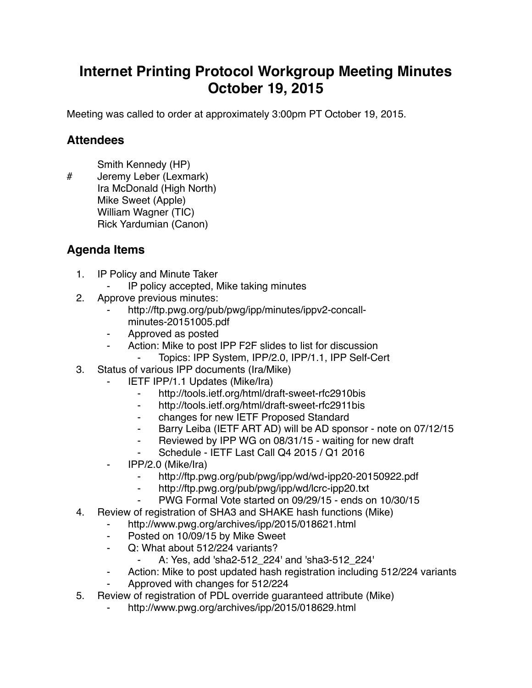## **Internet Printing Protocol Workgroup Meeting Minutes October 19, 2015**

Meeting was called to order at approximately 3:00pm PT October 19, 2015.

## **Attendees**

Smith Kennedy (HP)

# Jeremy Leber (Lexmark) Ira McDonald (High North) Mike Sweet (Apple) William Wagner (TIC) Rick Yardumian (Canon)

## **Agenda Items**

- 1. IP Policy and Minute Taker
	- IP policy accepted, Mike taking minutes
- 2. Approve previous minutes:
	- http://ftp.pwg.org/pub/pwg/ipp/minutes/ippv2-concallminutes-20151005.pdf
	- ⁃ Approved as posted
	- ⁃ Action: Mike to post IPP F2F slides to list for discussion
		- Topics: IPP System, IPP/2.0, IPP/1.1, IPP Self-Cert
- 3. Status of various IPP documents (Ira/Mike)
	- **IETF IPP/1.1 Updates (Mike/Ira)** 
		- ⁃ http://tools.ietf.org/html/draft-sweet-rfc2910bis
		- ⁃ http://tools.ietf.org/html/draft-sweet-rfc2911bis
		- ⁃ changes for new IETF Proposed Standard
		- Barry Leiba (IETF ART AD) will be AD sponsor note on 07/12/15
		- ⁃ Reviewed by IPP WG on 08/31/15 waiting for new draft
		- Schedule IETF Last Call Q4 2015 / Q1 2016
	- ⁃ IPP/2.0 (Mike/Ira)
		- http://ftp.pwg.org/pub/pwg/ipp/wd/wd-ipp20-20150922.pdf
		- ⁃ http://ftp.pwg.org/pub/pwg/ipp/wd/lcrc-ipp20.txt
		- ⁃ PWG Formal Vote started on 09/29/15 ends on 10/30/15
- 4. Review of registration of SHA3 and SHAKE hash functions (Mike)
	- ⁃ http://www.pwg.org/archives/ipp/2015/018621.html
	- ⁃ Posted on 10/09/15 by Mike Sweet
	- ⁃ Q: What about 512/224 variants?
		- ⁃ A: Yes, add 'sha2-512\_224' and 'sha3-512\_224'
	- ⁃ Action: Mike to post updated hash registration including 512/224 variants
	- ⁃ Approved with changes for 512/224
- 5. Review of registration of PDL override guaranteed attribute (Mike)
	- http://www.pwg.org/archives/ipp/2015/018629.html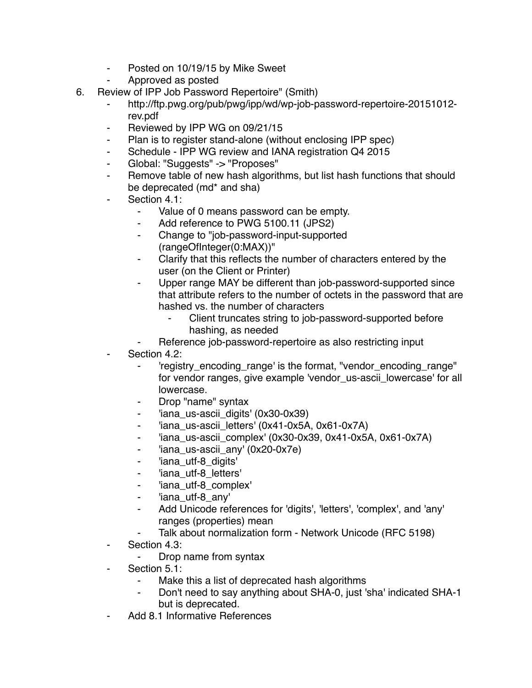- ⁃ Posted on 10/19/15 by Mike Sweet
- ⁃ Approved as posted
- 6. Review of IPP Job Password Repertoire" (Smith)
	- ⁃ http://ftp.pwg.org/pub/pwg/ipp/wd/wp-job-password-repertoire-20151012 rev.pdf
	- Reviewed by IPP WG on 09/21/15
	- Plan is to register stand-alone (without enclosing IPP spec)
	- ⁃ Schedule IPP WG review and IANA registration Q4 2015
	- ⁃ Global: "Suggests" -> "Proposes"
	- ⁃ Remove table of new hash algorithms, but list hash functions that should be deprecated (md\* and sha)
	- Section 4.1:
		- Value of 0 means password can be empty.
		- ⁃ Add reference to PWG 5100.11 (JPS2)
		- ⁃ Change to "job-password-input-supported (rangeOfInteger(0:MAX))"
		- ⁃ Clarify that this reflects the number of characters entered by the user (on the Client or Printer)
		- Upper range MAY be different than job-password-supported since that attribute refers to the number of octets in the password that are hashed vs. the number of characters
			- Client truncates string to job-password-supported before hashing, as needed
		- Reference job-password-repertoire as also restricting input
	- Section 4.2:
		- ⁃ 'registry\_encoding\_range' is the format, "vendor\_encoding\_range" for vendor ranges, give example 'vendor\_us-ascii\_lowercase' for all lowercase.
		- Drop "name" syntax
		- ⁃ 'iana\_us-ascii\_digits' (0x30-0x39)
		- 'iana\_us-ascii\_letters' (0x41-0x5A, 0x61-0x7A)
		- ⁃ 'iana\_us-ascii\_complex' (0x30-0x39, 0x41-0x5A, 0x61-0x7A)
		- ⁃ 'iana\_us-ascii\_any' (0x20-0x7e)
		- ⁃ 'iana\_utf-8\_digits'
		- ⁃ 'iana\_utf-8\_letters'
		- ⁃ 'iana\_utf-8\_complex'
		- ⁃ 'iana\_utf-8\_any'
		- Add Unicode references for 'digits', 'letters', 'complex', and 'any' ranges (properties) mean
		- Talk about normalization form Network Unicode (RFC 5198)
	- ⁃ Section 4.3:
		- ⁃ Drop name from syntax
	- Section 5.1:
		- ⁃ Make this a list of deprecated hash algorithms
		- Don't need to say anything about SHA-0, just 'sha' indicated SHA-1 but is deprecated.
	- Add 8.1 Informative References